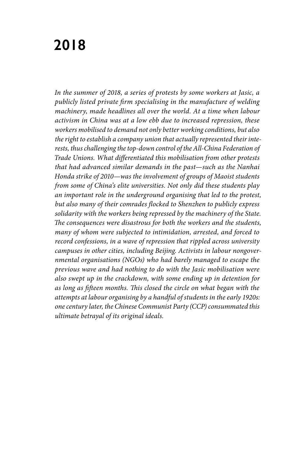# **2018**

In the summer of 2018, a series of protests by some workers at Jasic, a *publicly listed private firm specialising in the manufacture of welding machinery, made headlines all over the world. At a time when labour activism in China was at a low ebb due to increased repression, these workers mobilised to demand not only better working conditions, but also the right to establish a company union that actually represented their interests, thus challenging the top-down control of the All-China Federation of Trade Unions. What differentiated this mobilisation from other protests that had advanced similar demands in the past—such as the Nanhai Honda strike of 2010—was the involvement of groups of Maoist students from some of China's elite universities. Not only did these students play an important role in the underground organising that led to the protest, but also many of their comrades flocked to Shenzhen to publicly express solidarity with the workers being repressed by the machinery of the State. The consequences were disastrous for both the workers and the students, many of whom were subjected to intimidation, arrested, and forced to record confessions, in a wave of repression that rippled across university campuses in other cities, including Beijing. Activists in labour nongovernmental organisations (NGOs) who had barely managed to escape the previous wave and had nothing to do with the Jasic mobilisation were also swept up in the crackdown, with some ending up in detention for as long as fifteen months. This closed the circle on what began with the attempts at labour organising by a handful of students in the early 1920s: one century later, the Chinese Communist Party (CCP) consummated this ultimate betrayal of its original ideals.*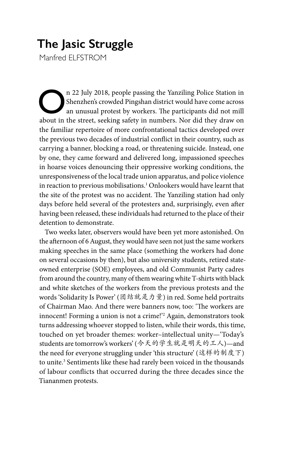# **The Jasic Struggle**

Manfred FLFSTROM

On 22 July 2018, people passing the Yanziling Police Station in Shenzhen's crowded Pingshan district would have come across an unusual protest by workers. The participants did not mill about in the street seeking sefety in Shenzhen's crowded Pingshan district would have come across an unusual protest by workers. The participants did not mill about in the street, seeking safety in numbers. Nor did they draw on the familiar repertoire of more confrontational tactics developed over the previous two decades of industrial conflict in their country, such as carrying a banner, blocking a road, or threatening suicide. Instead, one by one, they came forward and delivered long, impassioned speeches in hoarse voices denouncing their oppressive working conditions, the unresponsiveness of the local trade union apparatus, and police violence in reaction to previous mobilisations.1 Onlookers would have learnt that the site of the protest was no accident. The Yanziling station had only days before held several of the protesters and, surprisingly, even after having been released, these individuals had returned to the place of their detention to demonstrate.

Two weeks later, observers would have been yet more astonished. On the afternoon of 6 August, they would have seen not just the same workers making speeches in the same place (something the workers had done on several occasions by then), but also university students, retired stateowned enterprise (SOE) employees, and old Communist Party cadres from around the country, many of them wearing white T-shirts with black and white sketches of the workers from the previous protests and the words 'Solidarity Is Power' (团结就是力量) in red. Some held portraits of Chairman Mao. And there were banners now, too: 'The workers are innocent! Forming a union is not a crime!'2 Again, demonstrators took turns addressing whoever stopped to listen, while their words, this time, touched on yet broader themes: worker–intellectual unity—'Today's students are tomorrow's workers' (今天的学生就是明天的工人)—and the need for everyone struggling under 'this structure' (这样的制度下) to unite.<sup>3</sup> Sentiments like these had rarely been voiced in the thousands of labour conflicts that occurred during the three decades since the Tiananmen protests.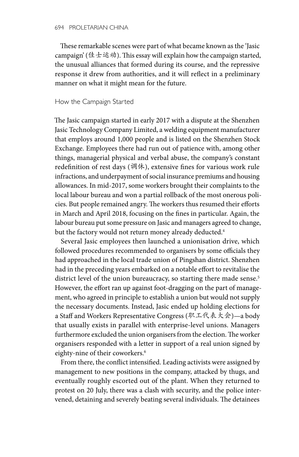These remarkable scenes were part of what became known as the 'Jasic campaign' (佳士运动). This essay will explain how the campaign started, the unusual alliances that formed during its course, and the repressive response it drew from authorities, and it will reflect in a preliminary manner on what it might mean for the future.

### How the Campaign Started

The Jasic campaign started in early 2017 with a dispute at the Shenzhen Jasic Technology Company Limited, a welding equipment manufacturer that employs around 1,000 people and is listed on the Shenzhen Stock Exchange. Employees there had run out of patience with, among other things, managerial physical and verbal abuse, the company's constant redefinition of rest days (调休), extensive fines for various work rule infractions, and underpayment of social insurance premiums and housing allowances. In mid-2017, some workers brought their complaints to the local labour bureau and won a partial rollback of the most onerous policies. But people remained angry. The workers thus resumed their efforts in March and April 2018, focusing on the fines in particular. Again, the labour bureau put some pressure on Jasic and managers agreed to change, but the factory would not return money already deducted.<sup>4</sup>

Several Jasic employees then launched a unionisation drive, which followed procedures recommended to organisers by some officials they had approached in the local trade union of Pingshan district. Shenzhen had in the preceding years embarked on a notable effort to revitalise the district level of the union bureaucracy, so starting there made sense.<sup>5</sup> However, the effort ran up against foot-dragging on the part of management, who agreed in principle to establish a union but would not supply the necessary documents. Instead, Jasic ended up holding elections for a Staff and Workers Representative Congress (职工代表大会)—a body that usually exists in parallel with enterprise-level unions. Managers furthermore excluded the union organisers from the election. The worker organisers responded with a letter in support of a real union signed by eighty-nine of their coworkers.<sup>6</sup>

From there, the conflict intensified. Leading activists were assigned by management to new positions in the company, attacked by thugs, and eventually roughly escorted out of the plant. When they returned to protest on 20 July, there was a clash with security, and the police intervened, detaining and severely beating several individuals. The detainees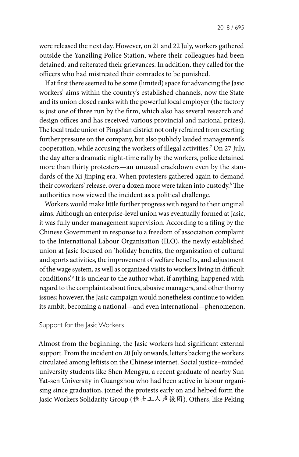were released the next day. However, on 21 and 22 July, workers gathered outside the Yanziling Police Station, where their colleagues had been detained, and reiterated their grievances. In addition, they called for the officers who had mistreated their comrades to be punished.

If at first there seemed to be some (limited) space for advancing the Jasic workers' aims within the country's established channels, now the State and its union closed ranks with the powerful local employer (the factory is just one of three run by the firm, which also has several research and design offices and has received various provincial and national prizes). The local trade union of Pingshan district not only refrained from exerting further pressure on the company, but also publicly lauded management's cooperation, while accusing the workers of illegal activities.7 On 27 July, the day after a dramatic night-time rally by the workers, police detained more than thirty protesters—an unusual crackdown even by the standards of the Xi Jinping era. When protesters gathered again to demand their coworkers' release, over a dozen more were taken into custody.8 The authorities now viewed the incident as a political challenge.

Workers would make little further progress with regard to their original aims. Although an enterprise-level union was eventually formed at Jasic, it was fully under management supervision. According to a filing by the Chinese Government in response to a freedom of association complaint to the International Labour Organisation (ILO), the newly established union at Jasic focused on 'holiday benefits, the organization of cultural and sports activities, the improvement of welfare benefits, and adjustment of the wage system, as well as organized visits to workers living in difficult conditions'.9 It is unclear to the author what, if anything, happened with regard to the complaints about fines, abusive managers, and other thorny issues; however, the Jasic campaign would nonetheless continue to widen its ambit, becoming a national—and even international—phenomenon.

#### Support for the Jasic Workers

Almost from the beginning, the Jasic workers had significant external support. From the incident on 20 July onwards, letters backing the workers circulated among leftists on the Chinese internet. Social justice–minded university students like Shen Mengyu, a recent graduate of nearby Sun Yat-sen University in Guangzhou who had been active in labour organising since graduation, joined the protests early on and helped form the Jasic Workers Solidarity Group (佳士工人声援团). Others, like Peking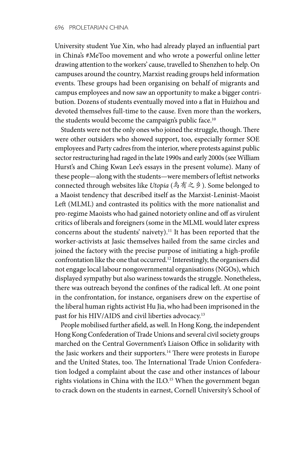University student Yue Xin, who had already played an influential part in China's #MeToo movement and who wrote a powerful online letter drawing attention to the workers' cause, travelled to Shenzhen to help. On campuses around the country, Marxist reading groups held information events. These groups had been organising on behalf of migrants and campus employees and now saw an opportunity to make a bigger contribution. Dozens of students eventually moved into a flat in Huizhou and devoted themselves full-time to the cause. Even more than the workers, the students would become the campaign's public face.<sup>10</sup>

Students were not the only ones who joined the struggle, though. There were other outsiders who showed support, too, especially former SOE employees and Party cadres from the interior, where protests against public sector restructuring had raged in the late 1990s and early 2000s (see William Hurst's and Ching Kwan Lee's essays in the present volume). Many of these people—along with the students—were members of leftist networks connected through websites like *Utopia* (乌有之乡). Some belonged to a Maoist tendency that described itself as the Marxist-Leninist-Maoist Left (MLML) and contrasted its politics with the more nationalist and pro-regime Maoists who had gained notoriety online and off as virulent critics of liberals and foreigners (some in the MLML would later express concerns about the students' naivety).<sup>11</sup> It has been reported that the worker-activists at Jasic themselves hailed from the same circles and joined the factory with the precise purpose of initiating a high-profile confrontation like the one that occurred.12 Interestingly, the organisers did not engage local labour nongovernmental organisations (NGOs), which displayed sympathy but also wariness towards the struggle. Nonetheless, there was outreach beyond the confines of the radical left. At one point in the confrontation, for instance, organisers drew on the expertise of the liberal human rights activist Hu Jia, who had been imprisoned in the past for his HIV/AIDS and civil liberties advocacy.<sup>13</sup>

People mobilised further afield, as well. In Hong Kong, the independent Hong Kong Confederation of Trade Unions and several civil society groups marched on the Central Government's Liaison Office in solidarity with the Jasic workers and their supporters.<sup>14</sup> There were protests in Europe and the United States, too. The International Trade Union Confederation lodged a complaint about the case and other instances of labour rights violations in China with the ILO.<sup>15</sup> When the government began to crack down on the students in earnest, Cornell University's School of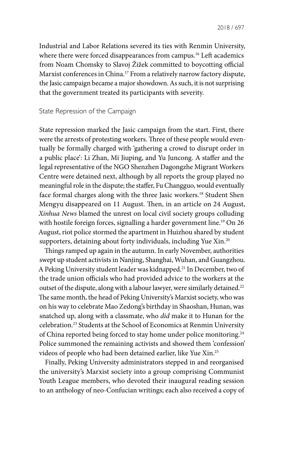Industrial and Labor Relations severed its ties with Renmin University, where there were forced disappearances from campus.<sup>16</sup> Left academics from Noam Chomsky to Slavoj Žižek committed to boycotting official Marxist conferences in China.17 From a relatively narrow factory dispute, the Jasic campaign became a major showdown. As such, it is not surprising that the government treated its participants with severity.

#### State Repression of the Campaign

State repression marked the Jasic campaign from the start. First, there were the arrests of protesting workers. Three of these people would eventually be formally charged with 'gathering a crowd to disrupt order in a public place': Li Zhan, Mi Jiuping, and Yu Juncong. A staffer and the legal representative of the NGO Shenzhen Dagongzhe Migrant Workers Centre were detained next, although by all reports the group played no meaningful role in the dispute; the staffer, Fu Changguo, would eventually face formal charges along with the three Jasic workers.<sup>18</sup> Student Shen Mengyu disappeared on 11 August. Then, in an article on 24 August, *Xinhua News* blamed the unrest on local civil society groups colluding with hostile foreign forces, signalling a harder government line.<sup>19</sup> On 26 August, riot police stormed the apartment in Huizhou shared by student supporters, detaining about forty individuals, including Yue Xin.<sup>20</sup>

Things ramped up again in the autumn. In early November, authorities swept up student activists in Nanjing, Shanghai, Wuhan, and Guangzhou. A Peking University student leader was kidnapped.21 In December, two of the trade union officials who had provided advice to the workers at the outset of the dispute, along with a labour lawyer, were similarly detained.<sup>22</sup> The same month, the head of Peking University's Marxist society, who was on his way to celebrate Mao Zedong's birthday in Shaoshan, Hunan, was snatched up, along with a classmate, who *did* make it to Hunan for the celebration.23 Students at the School of Economics at Renmin University of China reported being forced to stay home under police monitoring.<sup>24</sup> Police summoned the remaining activists and showed them 'confession' videos of people who had been detained earlier, like Yue Xin.25

Finally, Peking University administrators stepped in and reorganised the university's Marxist society into a group comprising Communist Youth League members, who devoted their inaugural reading session to an anthology of neo-Confucian writings; each also received a copy of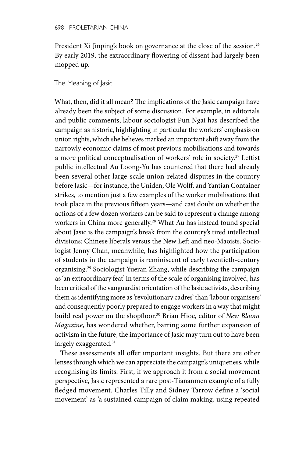President Xi Jinping's book on governance at the close of the session.<sup>26</sup> By early 2019, the extraordinary flowering of dissent had largely been mopped up.

## The Meaning of Jasic

What, then, did it all mean? The implications of the Jasic campaign have already been the subject of some discussion. For example, in editorials and public comments, labour sociologist Pun Ngai has described the campaign as historic, highlighting in particular the workers' emphasis on union rights, which she believes marked an important shift away from the narrowly economic claims of most previous mobilisations and towards a more political conceptualisation of workers' role in society.27 Leftist public intellectual Au Loong-Yu has countered that there had already been several other large-scale union-related disputes in the country before Jasic—for instance, the Uniden, Ole Wolff, and Yantian Container strikes, to mention just a few examples of the worker mobilisations that took place in the previous fifteen years—and cast doubt on whether the actions of a few dozen workers can be said to represent a change among workers in China more generally.<sup>28</sup> What Au has instead found special about Jasic is the campaign's break from the country's tired intellectual divisions: Chinese liberals versus the New Left and neo-Maoists. Sociologist Jenny Chan, meanwhile, has highlighted how the participation of students in the campaign is reminiscent of early twentieth-century organising.29 Sociologist Yueran Zhang, while describing the campaign as 'an extraordinary feat' in terms of the scale of organising involved, has been critical of the vanguardist orientation of the Jasic activists, describing them as identifying more as 'revolutionary cadres' than 'labour organisers' and consequently poorly prepared to engage workers in a way that might build real power on the shopfloor.30 Brian Hioe, editor of *New Bloom Magazine*, has wondered whether, barring some further expansion of activism in the future, the importance of Jasic may turn out to have been largely exaggerated.<sup>31</sup>

These assessments all offer important insights. But there are other lenses through which we can appreciate the campaign's uniqueness, while recognising its limits. First, if we approach it from a social movement perspective, Jasic represented a rare post-Tiananmen example of a fully fledged movement. Charles Tilly and Sidney Tarrow define a 'social movement' as 'a sustained campaign of claim making, using repeated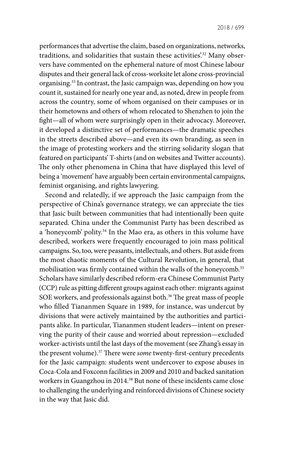performances that advertise the claim, based on organizations, networks, traditions, and solidarities that sustain these activities.<sup>32</sup> Many observers have commented on the ephemeral nature of most Chinese labour disputes and their general lack of cross-worksite let alone cross-provincial organising.33 In contrast, the Jasic campaign was, depending on how you count it, sustained for nearly one year and, as noted, drew in people from across the country, some of whom organised on their campuses or in their hometowns and others of whom relocated to Shenzhen to join the fight—all of whom were surprisingly open in their advocacy. Moreover, it developed a distinctive set of performances—the dramatic speeches in the streets described above—and even its own branding, as seen in the image of protesting workers and the stirring solidarity slogan that featured on participants' T-shirts (and on websites and Twitter accounts). The only other phenomena in China that have displayed this level of being a 'movement' have arguably been certain environmental campaigns, feminist organising, and rights lawyering.

Second and relatedly, if we approach the Jasic campaign from the perspective of China's governance strategy, we can appreciate the ties that Jasic built between communities that had intentionally been quite separated. China under the Communist Party has been described as a 'honeycomb' polity.<sup>34</sup> In the Mao era, as others in this volume have described, workers were frequently encouraged to join mass political campaigns. So, too, were peasants, intellectuals, and others. But aside from the most chaotic moments of the Cultural Revolution, in general, that mobilisation was firmly contained within the walls of the honeycomb.35 Scholars have similarly described reform-era Chinese Communist Party (CCP) rule as pitting different groups against each other: migrants against SOE workers, and professionals against both.<sup>36</sup> The great mass of people who filled Tiananmen Square in 1989, for instance, was undercut by divisions that were actively maintained by the authorities and participants alike. In particular, Tiananmen student leaders—intent on preserving the purity of their cause and worried about repression—excluded worker-activists until the last days of the movement (see Zhang's essay in the present volume).37 There were *some* twenty-first-century precedents for the Jasic campaign: students went undercover to expose abuses in Coca-Cola and Foxconn facilities in 2009 and 2010 and backed sanitation workers in Guangzhou in 2014.38 But none of these incidents came close to challenging the underlying and reinforced divisions of Chinese society in the way that Jasic did.